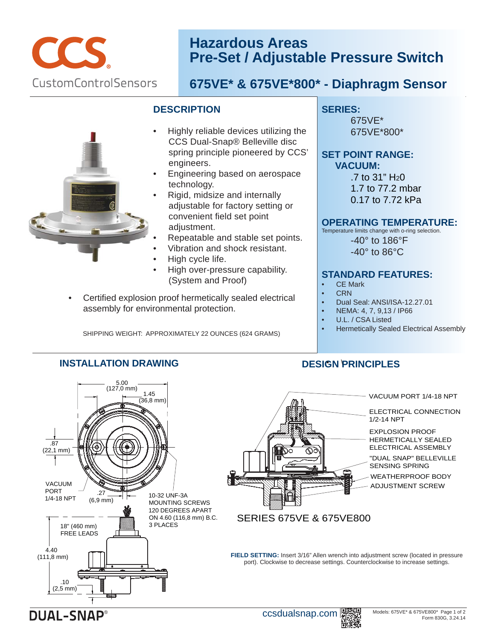

# **Hazardous Areas Pre-Set / Adjustable Pressure Switch**

# **675VE\* & 675VE\*800\* - Diaphragm Sensor**

#### **DESCRIPTION**

- Highly reliable devices utilizing the CCS Dual-Snap® Belleville disc spring principle pioneered by CCS' engineers. •
- Engineering based on aerospace technology. •
- Rigid, midsize and internally adjustable for factory setting or convenient field set point adjustment. •
- Repeatable and stable set points.
- Vibration and shock resistant. • •
- High cycle life. •
- High over-pressure capability. (System and Proof)
- Certified explosion proof hermetically sealed electrical assembly for environmental protection.

SHIPPING WEIGHT: APPROXIMATELY 22 OUNCES (624 GRAMS)

**INSTALLATION DRAWING**

#### **SERIES:**

675VE\* 675VE\*800\*

#### **SET POINT RANGE: VACUUM:**

 $.7$  to 31" H<sub>2</sub>0 1.7 to 77.2 mbar 0.17 to 7.72 kPa

#### **OPERATING TEMPERATURE:**

Temperature limits change with o-ring selection.

-40° to 186°F -40° to 86°C

## **STANDARD FEATURES:**

- **CE Mark**
- CRN
- Dual Seal: ANSI/ISA-12.27.01
- NEMA: 4, 7, 9,13 / IP66
- U.L. / CSA Listed

**DESIGN PRINCIPLES** • \

• Hermetically Sealed Electrical Assembly



**DUAL-SNAP** 

### ccsdualsnap.com